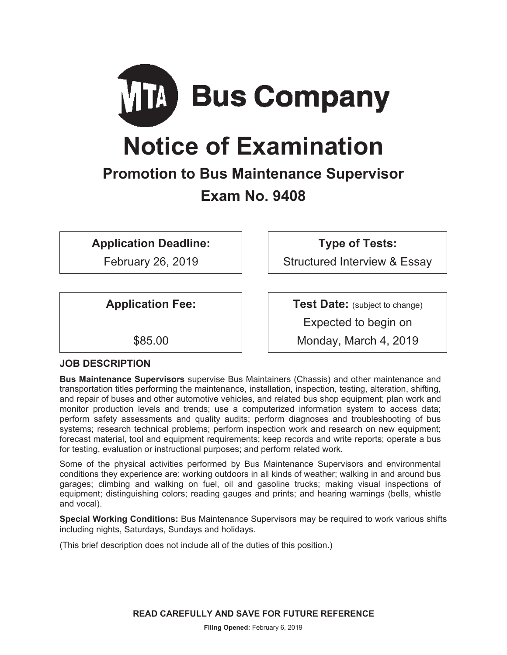

# **Notice of Examination**

# **Promotion to Bus Maintenance Supervisor Exam No. 9408**

**Application Deadline:** 

February 26, 2019

**Application Fee:** 

\$85.00

**JOB DESCRIPTION** 

**Bus Maintenance Supervisors** supervise Bus Maintainers (Chassis) and other maintenance and transportation titles performing the maintenance, installation, inspection, testing, alteration, shifting, and repair of buses and other automotive vehicles, and related bus shop equipment; plan work and monitor production levels and trends; use a computerized information system to access data; perform safety assessments and quality audits; perform diagnoses and troubleshooting of bus systems; research technical problems; perform inspection work and research on new equipment; forecast material, tool and equipment requirements; keep records and write reports; operate a bus for testing, evaluation or instructional purposes; and perform related work.

Some of the physical activities performed by Bus Maintenance Supervisors and environmental conditions they experience are: working outdoors in all kinds of weather; walking in and around bus garages; climbing and walking on fuel, oil and gasoline trucks; making visual inspections of equipment; distinguishing colors; reading gauges and prints; and hearing warnings (bells, whistle and vocal).

**Special Working Conditions:** Bus Maintenance Supervisors may be required to work various shifts including nights, Saturdays, Sundays and holidays.

(This brief description does not include all of the duties of this position.)

**READ CAREFULLY AND SAVE FOR FUTURE REFERENCE**

**Filing Opened:** February 6, 2019

**Type of Tests:** 

Structured Interview & Essay

**Test Date:** (subject to change)

Expected to begin on

Monday, March 4, 2019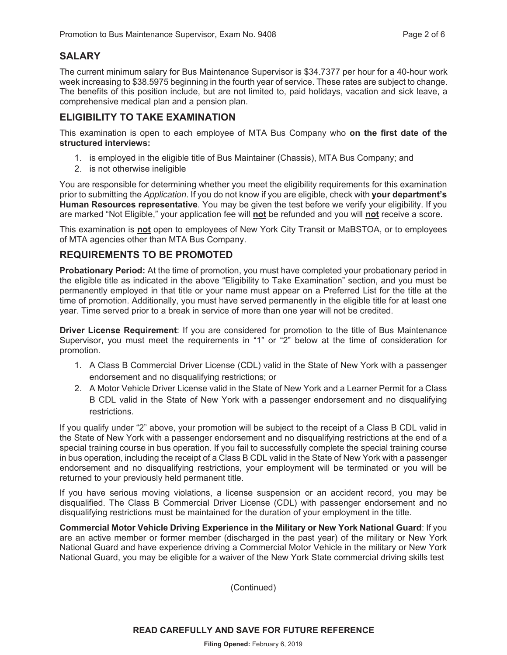## **SALARY**

The current minimum salary for Bus Maintenance Supervisor is \$34.7377 per hour for a 40-hour work week increasing to \$38.5975 beginning in the fourth year of service. These rates are subject to change. The benefits of this position include, but are not limited to, paid holidays, vacation and sick leave, a comprehensive medical plan and a pension plan.

#### **ELIGIBILITY TO TAKE EXAMINATION**

This examination is open to each employee of MTA Bus Company who **on the first date of the structured interviews:** 

- 1. is employed in the eligible title of Bus Maintainer (Chassis), MTA Bus Company; and
- 2. is not otherwise ineligible

You are responsible for determining whether you meet the eligibility requirements for this examination prior to submitting the *Application*. If you do not know if you are eligible, check with **your department's Human Resources representative**. You may be given the test before we verify your eligibility. If you are marked "Not Eligible," your application fee will **not** be refunded and you will **not** receive a score.

This examination is **not** open to employees of New York City Transit or MaBSTOA, or to employees of MTA agencies other than MTA Bus Company.

#### **REQUIREMENTS TO BE PROMOTED**

**Probationary Period:** At the time of promotion, you must have completed your probationary period in the eligible title as indicated in the above "Eligibility to Take Examination" section, and you must be permanently employed in that title or your name must appear on a Preferred List for the title at the time of promotion. Additionally, you must have served permanently in the eligible title for at least one year. Time served prior to a break in service of more than one year will not be credited.

**Driver License Requirement**: If you are considered for promotion to the title of Bus Maintenance Supervisor, you must meet the requirements in "1" or "2" below at the time of consideration for promotion.

- 1. A Class B Commercial Driver License (CDL) valid in the State of New York with a passenger endorsement and no disqualifying restrictions; or
- 2. A Motor Vehicle Driver License valid in the State of New York and a Learner Permit for a Class B CDL valid in the State of New York with a passenger endorsement and no disqualifying restrictions.

If you qualify under "2" above, your promotion will be subject to the receipt of a Class B CDL valid in the State of New York with a passenger endorsement and no disqualifying restrictions at the end of a special training course in bus operation. If you fail to successfully complete the special training course in bus operation, including the receipt of a Class B CDL valid in the State of New York with a passenger endorsement and no disqualifying restrictions, your employment will be terminated or you will be returned to your previously held permanent title.

If you have serious moving violations, a license suspension or an accident record, you may be disqualified. The Class B Commercial Driver License (CDL) with passenger endorsement and no disqualifying restrictions must be maintained for the duration of your employment in the title.

**Commercial Motor Vehicle Driving Experience in the Military or New York National Guard**: If you are an active member or former member (discharged in the past year) of the military or New York National Guard and have experience driving a Commercial Motor Vehicle in the military or New York National Guard, you may be eligible for a waiver of the New York State commercial driving skills test

(Continued)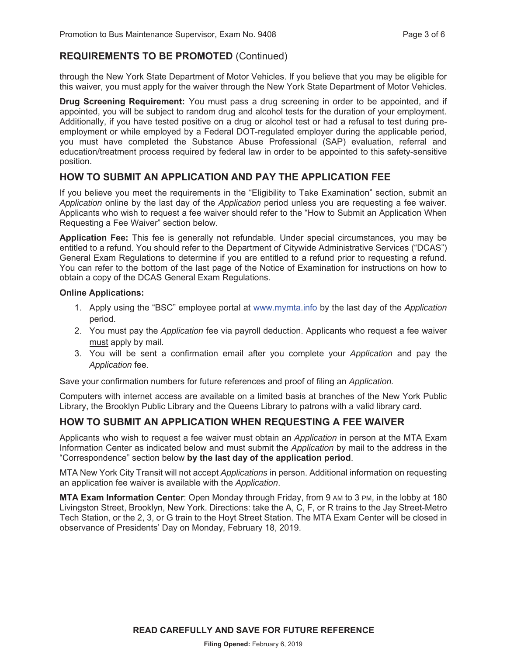#### **REQUIREMENTS TO BE PROMOTED** (Continued)

through the New York State Department of Motor Vehicles. If you believe that you may be eligible for this waiver, you must apply for the waiver through the New York State Department of Motor Vehicles.

**Drug Screening Requirement:** You must pass a drug screening in order to be appointed, and if appointed, you will be subject to random drug and alcohol tests for the duration of your employment. Additionally, if you have tested positive on a drug or alcohol test or had a refusal to test during preemployment or while employed by a Federal DOT-regulated employer during the applicable period, you must have completed the Substance Abuse Professional (SAP) evaluation, referral and education/treatment process required by federal law in order to be appointed to this safety-sensitive position.

#### **HOW TO SUBMIT AN APPLICATION AND PAY THE APPLICATION FEE**

If you believe you meet the requirements in the "Eligibility to Take Examination" section, submit an *Application* online by the last day of the *Application* period unless you are requesting a fee waiver. Applicants who wish to request a fee waiver should refer to the "How to Submit an Application When Requesting a Fee Waiver" section below.

**Application Fee:** This fee is generally not refundable. Under special circumstances, you may be entitled to a refund. You should refer to the Department of Citywide Administrative Services ("DCAS") General Exam Regulations to determine if you are entitled to a refund prior to requesting a refund. You can refer to the bottom of the last page of the Notice of Examination for instructions on how to obtain a copy of the DCAS General Exam Regulations.

#### **Online Applications:**

- 1. Apply using the "BSC" employee portal at www.mymta.info by the last day of the *Application*  period.
- 2. You must pay the *Application* fee via payroll deduction. Applicants who request a fee waiver must apply by mail.
- 3. You will be sent a confirmation email after you complete your *Application* and pay the *Application* fee.

Save your confirmation numbers for future references and proof of filing an *Application.*

Computers with internet access are available on a limited basis at branches of the New York Public Library, the Brooklyn Public Library and the Queens Library to patrons with a valid library card.

#### **HOW TO SUBMIT AN APPLICATION WHEN REQUESTING A FEE WAIVER**

Applicants who wish to request a fee waiver must obtain an *Application* in person at the MTA Exam Information Center as indicated below and must submit the *Application* by mail to the address in the "Correspondence" section below **by the last day of the application period**.

MTA New York City Transit will not accept *Applications* in person. Additional information on requesting an application fee waiver is available with the *Application*.

**MTA Exam Information Center**: Open Monday through Friday, from 9 AM to 3 PM, in the lobby at 180 Livingston Street, Brooklyn, New York. Directions: take the A, C, F, or R trains to the Jay Street-Metro Tech Station, or the 2, 3, or G train to the Hoyt Street Station. The MTA Exam Center will be closed in observance of Presidents' Day on Monday, February 18, 2019.

**READ CAREFULLY AND SAVE FOR FUTURE REFERENCE**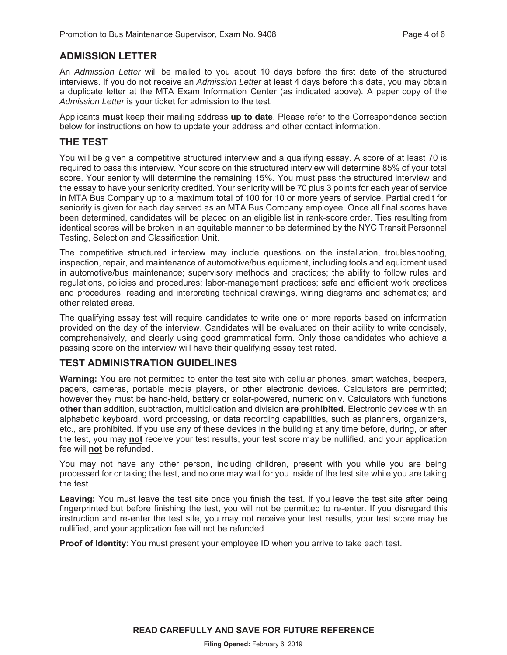#### **ADMISSION LETTER**

An *Admission Letter* will be mailed to you about 10 days before the first date of the structured interviews. If you do not receive an *Admission Letter* at least 4 days before this date, you may obtain a duplicate letter at the MTA Exam Information Center (as indicated above). A paper copy of the *Admission Letter* is your ticket for admission to the test.

Applicants **must** keep their mailing address **up to date**. Please refer to the Correspondence section below for instructions on how to update your address and other contact information.

#### **THE TEST**

You will be given a competitive structured interview and a qualifying essay. A score of at least 70 is required to pass this interview. Your score on this structured interview will determine 85% of your total score. Your seniority will determine the remaining 15%. You must pass the structured interview and the essay to have your seniority credited. Your seniority will be 70 plus 3 points for each year of service in MTA Bus Company up to a maximum total of 100 for 10 or more years of service. Partial credit for seniority is given for each day served as an MTA Bus Company employee. Once all final scores have been determined, candidates will be placed on an eligible list in rank-score order. Ties resulting from identical scores will be broken in an equitable manner to be determined by the NYC Transit Personnel Testing, Selection and Classification Unit.

The competitive structured interview may include questions on the installation, troubleshooting, inspection, repair, and maintenance of automotive/bus equipment, including tools and equipment used in automotive/bus maintenance; supervisory methods and practices; the ability to follow rules and regulations, policies and procedures; labor-management practices; safe and efficient work practices and procedures; reading and interpreting technical drawings, wiring diagrams and schematics; and other related areas.

The qualifying essay test will require candidates to write one or more reports based on information provided on the day of the interview. Candidates will be evaluated on their ability to write concisely, comprehensively, and clearly using good grammatical form. Only those candidates who achieve a passing score on the interview will have their qualifying essay test rated.

#### **TEST ADMINISTRATION GUIDELINES**

**Warning:** You are not permitted to enter the test site with cellular phones, smart watches, beepers, pagers, cameras, portable media players, or other electronic devices. Calculators are permitted; however they must be hand-held, battery or solar-powered, numeric only. Calculators with functions **other than** addition, subtraction, multiplication and division **are prohibited**. Electronic devices with an alphabetic keyboard, word processing, or data recording capabilities, such as planners, organizers, etc., are prohibited. If you use any of these devices in the building at any time before, during, or after the test, you may **not** receive your test results, your test score may be nullified, and your application fee will **not** be refunded.

You may not have any other person, including children, present with you while you are being processed for or taking the test, and no one may wait for you inside of the test site while you are taking the test.

**Leaving:** You must leave the test site once you finish the test. If you leave the test site after being fingerprinted but before finishing the test, you will not be permitted to re-enter. If you disregard this instruction and re-enter the test site, you may not receive your test results, your test score may be nullified, and your application fee will not be refunded

**Proof of Identity**: You must present your employee ID when you arrive to take each test.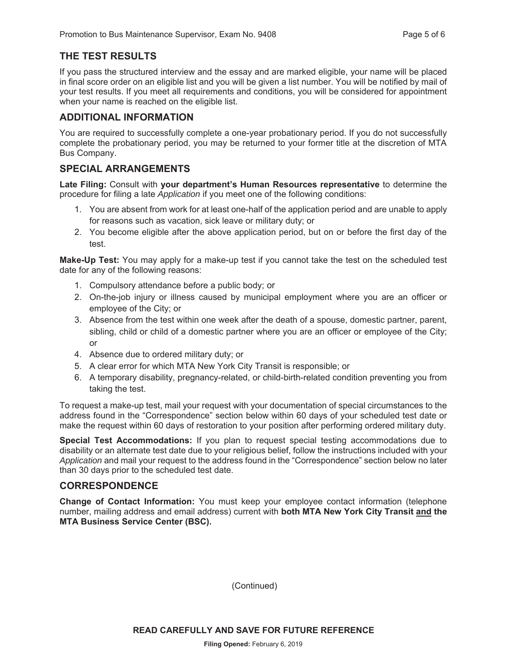### **THE TEST RESULTS**

If you pass the structured interview and the essay and are marked eligible, your name will be placed in final score order on an eligible list and you will be given a list number. You will be notified by mail of your test results. If you meet all requirements and conditions, you will be considered for appointment when your name is reached on the eligible list.

#### **ADDITIONAL INFORMATION**

You are required to successfully complete a one-year probationary period. If you do not successfully complete the probationary period, you may be returned to your former title at the discretion of MTA Bus Company.

#### **SPECIAL ARRANGEMENTS**

**Late Filing:** Consult with **your department's Human Resources representative** to determine the procedure for filing a late *Application* if you meet one of the following conditions:

- 1. You are absent from work for at least one-half of the application period and are unable to apply for reasons such as vacation, sick leave or military duty; or
- 2. You become eligible after the above application period, but on or before the first day of the test.

**Make-Up Test:** You may apply for a make-up test if you cannot take the test on the scheduled test date for any of the following reasons:

- 1. Compulsory attendance before a public body; or
- 2. On-the-job injury or illness caused by municipal employment where you are an officer or employee of the City; or
- 3. Absence from the test within one week after the death of a spouse, domestic partner, parent, sibling, child or child of a domestic partner where you are an officer or employee of the City; or
- 4. Absence due to ordered military duty; or
- 5. A clear error for which MTA New York City Transit is responsible; or
- 6. A temporary disability, pregnancy-related, or child-birth-related condition preventing you from taking the test.

To request a make-up test, mail your request with your documentation of special circumstances to the address found in the "Correspondence" section below within 60 days of your scheduled test date or make the request within 60 days of restoration to your position after performing ordered military duty.

**Special Test Accommodations:** If you plan to request special testing accommodations due to disability or an alternate test date due to your religious belief, follow the instructions included with your *Application* and mail your request to the address found in the "Correspondence" section below no later than 30 days prior to the scheduled test date.

#### **CORRESPONDENCE**

**Change of Contact Information:** You must keep your employee contact information (telephone number, mailing address and email address) current with **both MTA New York City Transit and the MTA Business Service Center (BSC).**

(Continued)

**READ CAREFULLY AND SAVE FOR FUTURE REFERENCE**